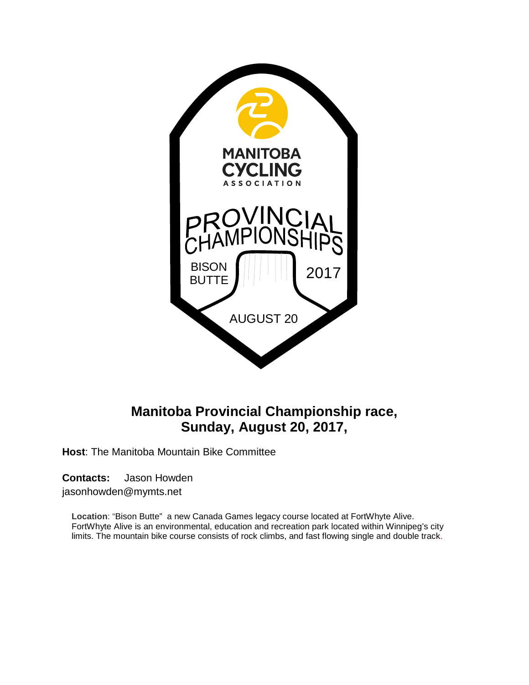

# **Manitoba Provincial Championship race, Sunday, August 20, 2017,**

**Host**: The Manitoba Mountain Bike Committee

**Contacts:** Jason Howden

jasonhowden@mymts.net

**Location**: "Bison Butte" a new Canada Games legacy course located at FortWhyte Alive. FortWhyte Alive is an environmental, education and recreation park located within Winnipeg's city limits. The mountain bike course consists of rock climbs, and fast flowing single and double track.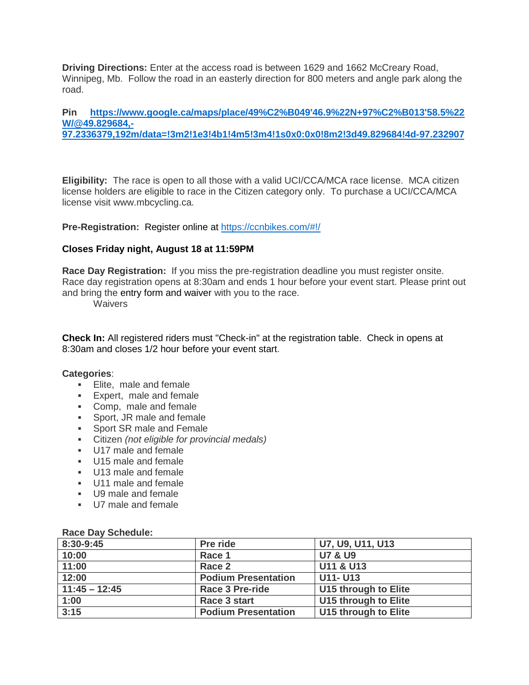**Driving Directions:** Enter at the access road is between 1629 and 1662 McCreary Road, Winnipeg, Mb. Follow the road in an easterly direction for 800 meters and angle park along the road.

#### **Pin [https://www.google.ca/maps/place/49%C2%B049'46.9%22N+97%C2%B013'58.5%22](https://www.google.ca/maps/place/49%C2%B049) [W/@49.829684,-](https://www.google.ca/maps/place/49%C2%B049) [97.2336379,192m/data=!3m2!1e3!4b1!4m5!3m4!1s0x0:0x0!8m2!3d49.829684!4d-97.232907](https://www.google.ca/maps/place/49%C2%B049)**

**Eligibility:** The race is open to all those with a valid UCI/CCA/MCA race license. MCA citizen license holders are eligible to race in the Citizen category only. To purchase a UCI/CCA/MCA license visit www.mbcycling.ca.

**Pre-Registration:** Register online at <https://ccnbikes.com/#!/>

#### **Closes Friday night, August 18 at 11:59PM**

**Race Day Registration:** If you miss the pre-registration deadline you must register onsite. Race day registration opens at 8:30am and ends 1 hour before your event start. Please print out and bring the entry form and waiver with you to the race.

**Waivers** 

**Check In:** All registered riders must "Check-in" at the registration table. Check in opens at 8:30am and closes 1/2 hour before your event start.

#### **Categories**:

- **Elite, male and female**
- **Expert, male and female**
- Comp, male and female
- **Sport, JR male and female**
- **Sport SR male and Female**
- Citizen *(not eligible for provincial medals)*
- U17 male and female
- U15 male and female
- U13 male and female
- U11 male and female
- U9 male and female
- U7 male and female

| <b>Race Day Schedule:</b> |  |
|---------------------------|--|
|---------------------------|--|

| 8:30-9:45       | Pre ride                   | U7, U9, U11, U13     |
|-----------------|----------------------------|----------------------|
| 10:00           | Race 1                     | <b>U7 &amp; U9</b>   |
| 11:00           | Race 2                     | U11 & U13            |
| 12:00           | <b>Podium Presentation</b> | <b>U11- U13</b>      |
| $11:45 - 12:45$ | <b>Race 3 Pre-ride</b>     | U15 through to Elite |
| 1:00            | Race 3 start               | U15 through to Elite |
| 3:15            | <b>Podium Presentation</b> | U15 through to Elite |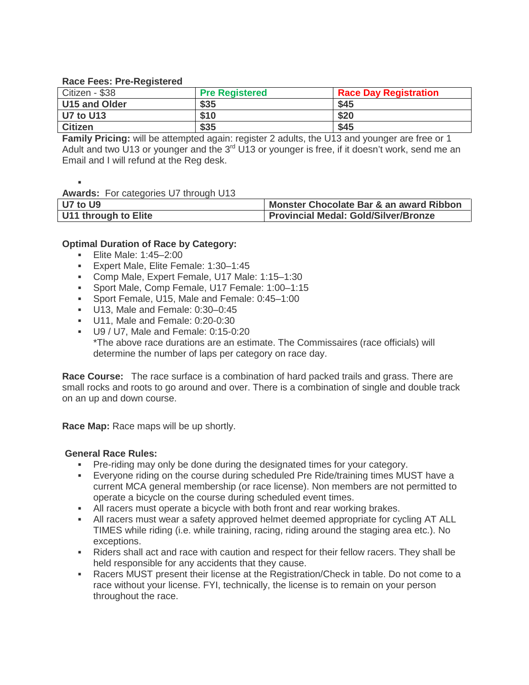### **Race Fees: Pre-Registered**

| -<br>Citizen - \$38 | <b>Pre Registered</b> | <b>Race Day Registration</b> |
|---------------------|-----------------------|------------------------------|
| U15 and Older       | \$35                  | \$45                         |
| U7 to U13           | \$10                  | \$20                         |
| <b>Citizen</b>      | \$35                  | \$45                         |

**Family Pricing:** will be attempted again: register 2 adults, the U13 and younger are free or 1 Adult and two U13 or younger and the  $3<sup>rd</sup> U13$  or younger is free, if it doesn't work, send me an Email and I will refund at the Reg desk.

#### F **Awards:** For categories U7 through U13

| U7 to U9             | Monster Chocolate Bar & an award Ribbon     |
|----------------------|---------------------------------------------|
| U11 through to Elite | <b>Provincial Medal: Gold/Silver/Bronze</b> |

# **Optimal Duration of Race by Category:**

- **Elite Male: 1:45–2:00**
- Expert Male, Elite Female: 1:30–1:45
- Comp Male, Expert Female, U17 Male: 1:15–1:30
- Sport Male, Comp Female, U17 Female: 1:00–1:15
- Sport Female, U15, Male and Female: 0:45–1:00
- U13, Male and Female: 0:30-0:45
- U11, Male and Female: 0:20-0:30
- U9 / U7, Male and Female: 0:15-0:20 \*The above race durations are an estimate. The Commissaires (race officials) will determine the number of laps per category on race day.

**Race Course:** The race surface is a combination of hard packed trails and grass. There are small rocks and roots to go around and over. There is a combination of single and double track on an up and down course.

**Race Map:** Race maps will be up shortly.

# **General Race Rules:**

- Pre-riding may only be done during the designated times for your category.
- Everyone riding on the course during scheduled Pre Ride/training times MUST have a current MCA general membership (or race license). Non members are not permitted to operate a bicycle on the course during scheduled event times.
- All racers must operate a bicycle with both front and rear working brakes.
- All racers must wear a safety approved helmet deemed appropriate for cycling AT ALL TIMES while riding (i.e. while training, racing, riding around the staging area etc.). No exceptions.
- Riders shall act and race with caution and respect for their fellow racers. They shall be held responsible for any accidents that they cause.
- Racers MUST present their license at the Registration/Check in table. Do not come to a race without your license. FYI, technically, the license is to remain on your person throughout the race.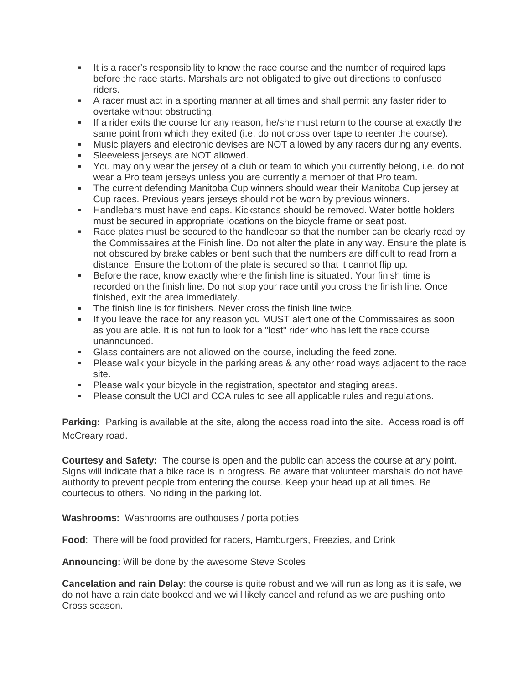- It is a racer's responsibility to know the race course and the number of required laps before the race starts. Marshals are not obligated to give out directions to confused riders.
- A racer must act in a sporting manner at all times and shall permit any faster rider to overtake without obstructing.
- If a rider exits the course for any reason, he/she must return to the course at exactly the same point from which they exited (i.e. do not cross over tape to reenter the course).
- Music players and electronic devises are NOT allowed by any racers during any events.
- Sleeveless jerseys are NOT allowed.
- You may only wear the jersey of a club or team to which you currently belong, i.e. do not wear a Pro team jerseys unless you are currently a member of that Pro team.
- The current defending Manitoba Cup winners should wear their Manitoba Cup jersey at Cup races. Previous years jerseys should not be worn by previous winners.
- Handlebars must have end caps. Kickstands should be removed. Water bottle holders must be secured in appropriate locations on the bicycle frame or seat post.
- Race plates must be secured to the handlebar so that the number can be clearly read by the Commissaires at the Finish line. Do not alter the plate in any way. Ensure the plate is not obscured by brake cables or bent such that the numbers are difficult to read from a distance. Ensure the bottom of the plate is secured so that it cannot flip up.
- **Before the race, know exactly where the finish line is situated. Your finish time is** recorded on the finish line. Do not stop your race until you cross the finish line. Once finished, exit the area immediately.
- The finish line is for finishers. Never cross the finish line twice.
- If you leave the race for any reason you MUST alert one of the Commissaires as soon as you are able. It is not fun to look for a "lost" rider who has left the race course unannounced.
- Glass containers are not allowed on the course, including the feed zone.
- Please walk your bicycle in the parking areas & any other road ways adjacent to the race site.
- Please walk your bicycle in the registration, spectator and staging areas.
- Please consult the UCI and CCA rules to see all applicable rules and regulations.

**Parking:** Parking is available at the site, along the access road into the site. Access road is off McCreary road.

**Courtesy and Safety:** The course is open and the public can access the course at any point. Signs will indicate that a bike race is in progress. Be aware that volunteer marshals do not have authority to prevent people from entering the course. Keep your head up at all times. Be courteous to others. No riding in the parking lot.

**Washrooms:** Washrooms are outhouses / porta potties

**Food**: There will be food provided for racers, Hamburgers, Freezies, and Drink

**Announcing:** Will be done by the awesome Steve Scoles

**Cancelation and rain Delay**: the course is quite robust and we will run as long as it is safe, we do not have a rain date booked and we will likely cancel and refund as we are pushing onto Cross season.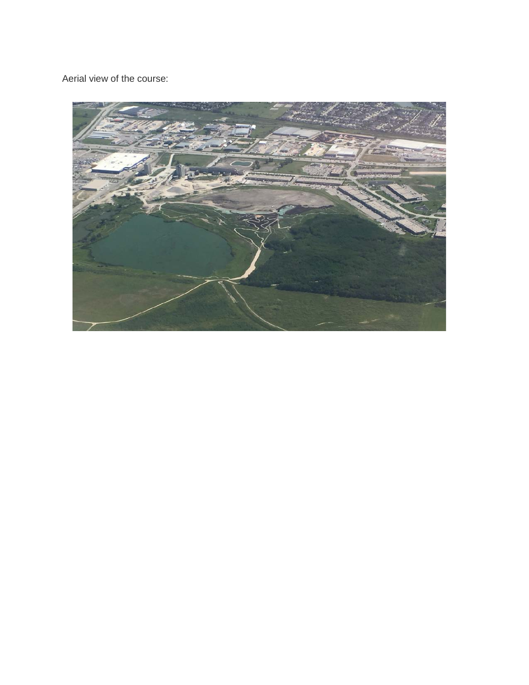Aerial view of the course:

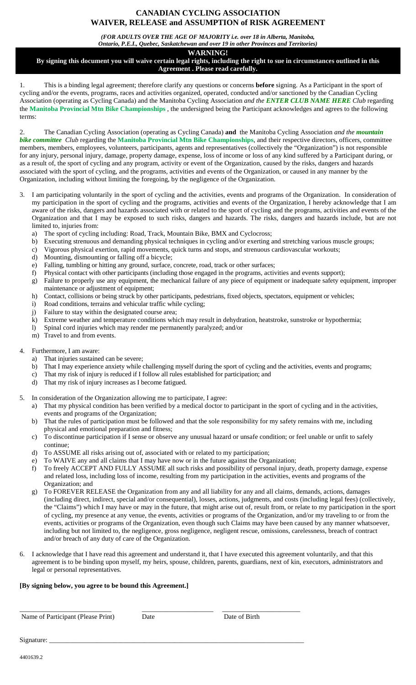# **CANADIAN CYCLING ASSOCIATION WAIVER, RELEASE and ASSUMPTION of RISK AGREEMENT**

*(FOR ADULTS OVER THE AGE OF MAJORITY i.e. over 18 in Alberta, Manitoba,* 

*Ontario, P.E.I., Quebec, Saskatchewan and over 19 in other Provinces and Territories)*

# **WARNING!**

**By signing this document you will waive certain legal rights, including the right to sue in circumstances outlined in this Agreement . Please read carefully.**

1. This is a binding legal agreement; therefore clarify any questions or concerns **before** signing. As a Participant in the sport of cycling and/or the events, programs, races and activities organized, operated, conducted and/or sanctioned by the Canadian Cycling Association (operating as Cycling Canada) and the Manitoba Cycling Association *and the ENTER CLUB NAME HERE Club* regarding the **Manitoba Provincial Mtn Bike Championships** , the undersigned being the Participant acknowledges and agrees to the following terms:

2. The Canadian Cycling Association (operating as Cycling Canada) **and** the Manitoba Cycling Association *and the mountain bike committee Club* regarding the **Manitoba Provincial Mtn Bike Championships**, and their respective directors, officers, committee members, members, employees, volunteers, participants, agents and representatives (collectively the "Organization") is not responsible for any injury, personal injury, damage, property damage, expense, loss of income or loss of any kind suffered by a Participant during, or as a result of, the sport of cycling and any program, activity or event of the Organization, caused by the risks, dangers and hazards associated with the sport of cycling, and the programs, activities and events of the Organization, or caused in any manner by the Organization, including without limiting the foregoing, by the negligence of the Organization.

- 3. I am participating voluntarily in the sport of cycling and the activities, events and programs of the Organization. In consideration of my participation in the sport of cycling and the programs, activities and events of the Organization, I hereby acknowledge that I am aware of the risks, dangers and hazards associated with or related to the sport of cycling and the programs, activities and events of the Organization and that I may be exposed to such risks, dangers and hazards. The risks, dangers and hazards include, but are not limited to, injuries from:
	- a) The sport of cycling including: Road, Track, Mountain Bike, BMX and Cyclocross;
	- b) Executing strenuous and demanding physical techniques in cycling and/or exerting and stretching various muscle groups;
	- c) Vigorous physical exertion, rapid movements, quick turns and stops, and strenuous cardiovascular workouts;
	- d) Mounting, dismounting or falling off a bicycle;
	- e) Falling, tumbling or hitting any ground, surface, concrete, road, track or other surfaces;
	- f) Physical contact with other participants (including those engaged in the programs, activities and events support);
	- g) Failure to properly use any equipment, the mechanical failure of any piece of equipment or inadequate safety equipment, improper maintenance or adjustment of equipment;
	- h) Contact, collisions or being struck by other participants, pedestrians, fixed objects, spectators, equipment or vehicles;
	- i) Road conditions, terrains and vehicular traffic while cycling;
	- j) Failure to stay within the designated course area;
	- k) Extreme weather and temperature conditions which may result in dehydration, heatstroke, sunstroke or hypothermia;
	- l) Spinal cord injuries which may render me permanently paralyzed; and/or
	- m) Travel to and from events.
- 4. Furthermore, I am aware:
	- a) That injuries sustained can be severe;
	- b) That I may experience anxiety while challenging myself during the sport of cycling and the activities, events and programs;
	- c) That my risk of injury is reduced if I follow all rules established for participation; and d) That my risk of injury increases as I become fatigued.
	- That my risk of injury increases as I become fatigued.
- 5. In consideration of the Organization allowing me to participate, I agree:
	- a) That my physical condition has been verified by a medical doctor to participant in the sport of cycling and in the activities, events and programs of the Organization;
	- b) That the rules of participation must be followed and that the sole responsibility for my safety remains with me, including physical and emotional preparation and fitness;
	- c) To discontinue participation if I sense or observe any unusual hazard or unsafe condition; or feel unable or unfit to safely continue;
	- d) To ASSUME all risks arising out of, associated with or related to my participation;
	- e) To WAIVE any and all claims that I may have now or in the future against the Organization;
	- f) To freely ACCEPT AND FULLY ASSUME all such risks and possibility of personal injury, death, property damage, expense and related loss, including loss of income, resulting from my participation in the activities, events and programs of the Organization; and
	- g) To FOREVER RELEASE the Organization from any and all liability for any and all claims, demands, actions, damages (including direct, indirect, special and/or consequential), losses, actions, judgments, and costs (including legal fees) (collectively, the "Claims") which I may have or may in the future, that might arise out of, result from, or relate to my participation in the sport of cycling, my presence at any venue, the events, activities or programs of the Organization, and/or my traveling to or from the events, activities or programs of the Organization, even though such Claims may have been caused by any manner whatsoever, including but not limited to, the negligence, gross negligence, negligent rescue, omissions, carelessness, breach of contract and/or breach of any duty of care of the Organization.
- 6. I acknowledge that I have read this agreement and understand it, that I have executed this agreement voluntarily, and that this agreement is to be binding upon myself, my heirs, spouse, children, parents, guardians, next of kin, executors, administrators and legal or personal representatives.

### **[By signing below, you agree to be bound this Agreement.]**

\_\_\_\_\_\_\_\_\_\_\_\_\_\_\_\_\_\_\_\_\_\_\_\_\_\_\_ \_\_\_\_\_\_\_\_\_\_\_\_\_\_\_\_\_\_\_\_\_ \_\_\_\_\_\_\_\_\_\_\_\_\_\_\_\_\_\_\_\_\_\_\_ Name of Participant (Please Print) Date Date Date Date of Birth

Signature: \_\_\_\_\_\_\_\_\_\_\_\_\_\_\_\_\_\_\_\_\_\_\_\_\_\_\_\_\_\_\_\_\_\_\_\_\_\_\_\_\_\_\_\_\_\_\_\_\_\_\_\_\_\_\_\_\_\_\_\_\_\_\_\_\_\_\_\_\_\_\_\_\_\_\_